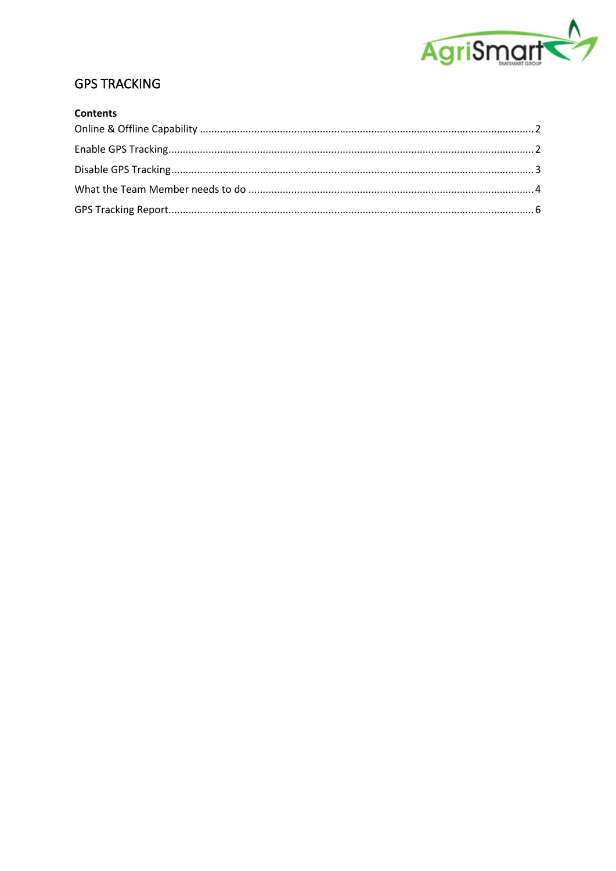

# **GPS TRACKING**

# **Contents**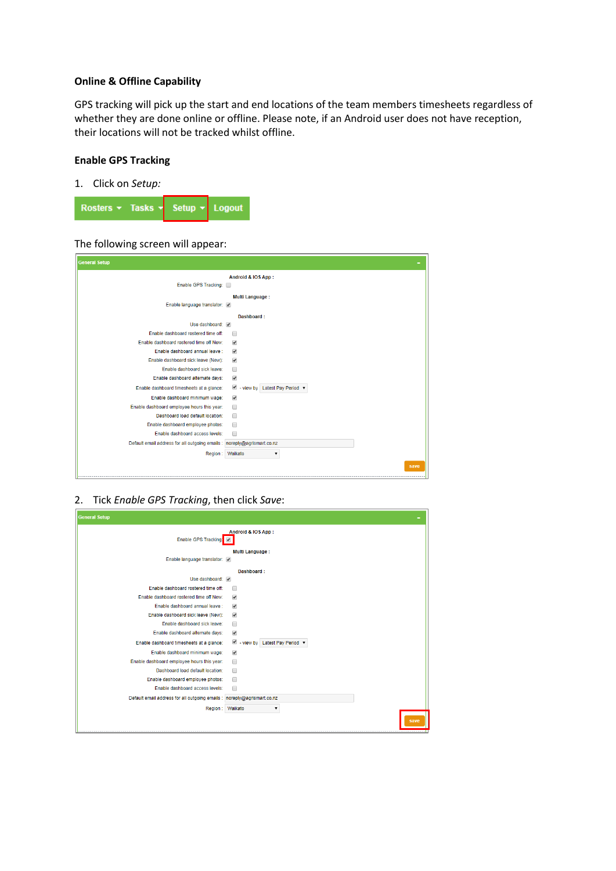#### <span id="page-1-0"></span>**Online & Offline Capability**

GPS tracking will pick up the start and end locations of the team members timesheets regardless of whether they are done online or offline. Please note, if an Android user does not have reception, their locations will not be tracked whilst offline.

### <span id="page-1-1"></span>**Enable GPS Tracking**

1. Click on *Setup:*



# The following screen will appear:

| <b>General Setup</b>                                                    | ÷                                     |
|-------------------------------------------------------------------------|---------------------------------------|
| Enable GPS Tracking:                                                    | Android & IOS App:                    |
| Enable language translator: v                                           | Multi Language:                       |
|                                                                         | Dashboard:                            |
| Use dashboard: V                                                        |                                       |
| Fnable dashboard rostered time off:                                     |                                       |
| Fnable dashboard rostered time off New:                                 | $\overline{\mathcal{L}}$              |
| Fnable dashboard annual leave :                                         | $\overline{\mathcal{L}}$              |
| Enable dashboard sick leave (New):                                      | $\overline{\mathcal{L}}$              |
| Fnable dashboard sick leave:                                            | ∩                                     |
| Enable dashboard alternate days:                                        | $\blacktriangledown$                  |
| Enable dashboard timesheets at a glance:                                | V - view by Latest Pay Period v       |
| Enable dashboard minimum wage:                                          | $\overline{\mathcal{L}}$              |
| Enable dashboard employee hours this year:                              | ∩                                     |
| Dashboard load default location:                                        | ∩                                     |
| Enable dashboard employee photos:                                       | ∩                                     |
| Fnable dashboard access levels:                                         | ∩                                     |
| Default email address for all outgoing emails : noreply@agrismart.co.nz |                                       |
|                                                                         | Region: Waikato<br>$\pmb{\mathrm{v}}$ |
|                                                                         | save                                  |

### 2. Tick *Enable GPS Tracking*, then click *Save*:

| <b>General Setup</b>                                                    |                                       |
|-------------------------------------------------------------------------|---------------------------------------|
| Enable GPS Tracking: @                                                  | Android & IOS App:                    |
| Enable language translator: V                                           | Multi Language:                       |
|                                                                         | Dashboard:                            |
| Use dashboard: V                                                        |                                       |
| Fnable dashboard rostered time off:                                     |                                       |
| Enable dashboard rostered time off New:                                 | ✔                                     |
| Fnable dashboard annual leave :                                         | $\overline{\mathcal{L}}$              |
| Enable dashboard sick leave (New):                                      | $\overline{\mathcal{L}}$              |
| Fnable dashboard sick leave:                                            | ∩                                     |
| Enable dashboard alternate days:                                        | $\blacktriangledown$                  |
| Enable dashboard timesheets at a glance:                                | V - view by Latest Pay Period v       |
| Enable dashboard minimum wage:                                          | $\overline{\mathcal{L}}$              |
| Enable dashboard employee hours this year:                              | ∩                                     |
| Dashboard load default location:                                        | ∩                                     |
| Enable dashboard employee photos:                                       | ⋒                                     |
| Fnable dashboard access levels:                                         | ∩                                     |
| Default email address for all outgoing emails : noreply@agrismart.co.nz |                                       |
|                                                                         | Region: Waikato<br>$\pmb{\mathrm{v}}$ |
|                                                                         | save                                  |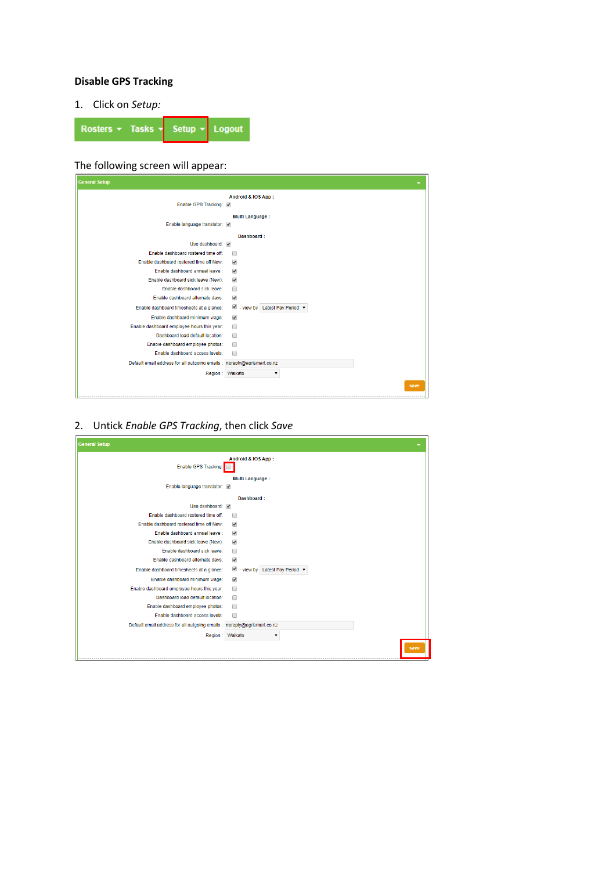# <span id="page-2-0"></span>**Disable GPS Tracking**

1. Click on *Setup:*



# The following screen will appear:

| <b>General Setup</b>                                                    |                                 |
|-------------------------------------------------------------------------|---------------------------------|
|                                                                         | Android & IOS App:              |
| Enable GPS Tracking: V                                                  |                                 |
|                                                                         | Multi Language:                 |
| Enable language translator:                                             |                                 |
|                                                                         | Dashboard:                      |
| Use dashboard: V                                                        |                                 |
| Enable dashboard rostered time off:                                     | ∩                               |
| Fnable dashboard rostered time off New:                                 | $\overline{\mathcal{L}}$        |
| Fnable dashboard annual leave :                                         | $\overline{\mathcal{L}}$        |
| Enable dashboard sick leave (New):                                      | $\overline{\mathcal{L}}$        |
| Fnable dashboard sick leave:                                            | ∩                               |
| Enable dashboard alternate days:                                        | $\overline{\mathcal{L}}$        |
| Enable dashboard timesheets at a glance:                                | V - view by Latest Pay Period v |
| Enable dashboard minimum wage:                                          | $\overline{\mathcal{L}}$        |
| Enable dashboard employee hours this year:                              | $\Box$                          |
| Dashboard load default location:                                        | ∩                               |
| Enable dashboard employee photos:<br>Fnable dashboard access levels:    | $\Box$                          |
|                                                                         | ∩                               |
| Default email address for all outgoing emails : noreply@agrismart.co.nz |                                 |
|                                                                         | Region: Waikato<br>▼            |
|                                                                         | save                            |

# 2. Untick *Enable GPS Tracking*, then click *Save*

| <b>General Setup</b>                                                    |                                 |
|-------------------------------------------------------------------------|---------------------------------|
|                                                                         | Android & IOS App:              |
| Enable GPS Tracking:                                                    |                                 |
|                                                                         | Multi Language:                 |
| Enable language translator: V                                           |                                 |
|                                                                         | Dashboard:                      |
| Use dashboard: V                                                        |                                 |
| Fnable dashboard rostered time off:                                     | ∩                               |
| Fnable dashboard rostered time off New:                                 | ✓                               |
| Enable dashboard annual leave :                                         | ✓                               |
| Enable dashboard sick leave (New):                                      | $\overline{\mathcal{L}}$        |
| Fnable dashboard sick leave:                                            | ∩                               |
| Enable dashboard alternate days:                                        | $\overline{\mathcal{L}}$        |
| Enable dashboard timesheets at a glance:                                | V - view by Latest Pay Period v |
| Enable dashboard minimum wage:                                          | $\overline{\mathcal{L}}$        |
| Enable dashboard employee hours this year:                              | ∩                               |
| Dashboard load default location:                                        | ∩                               |
| Enable dashboard employee photos:                                       | ∩                               |
| Fnable dashboard access levels:                                         | ∩                               |
| Default email address for all outgoing emails : noreply@agrismart.co.nz |                                 |
|                                                                         | Region: Waikato<br>▼            |
|                                                                         | save                            |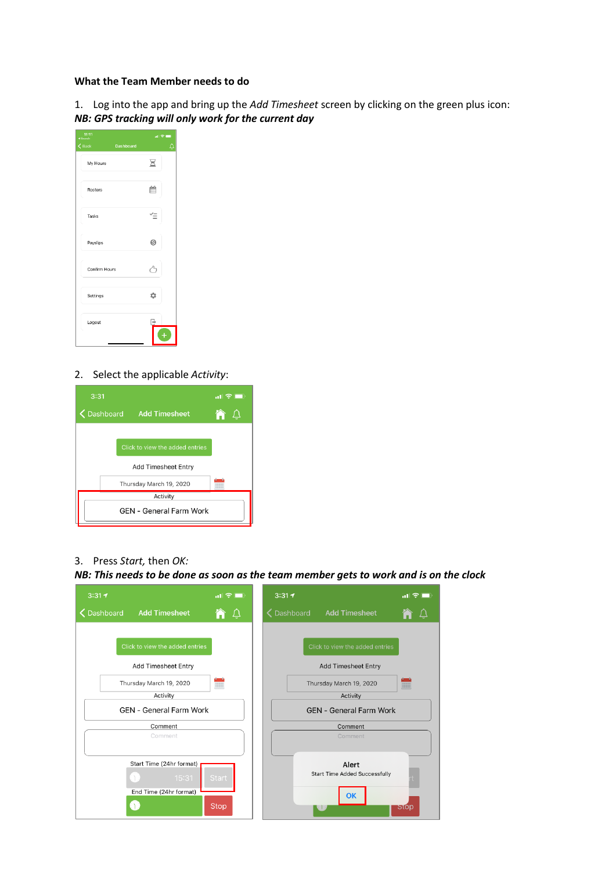#### <span id="page-3-0"></span>**What the Team Member needs to do**

1. Log into the app and bring up the *Add Timesheet* screen by clicking on the green plus icon: *NB: GPS tracking will only work for the current day* 

| 11:11<br><br>search | 副金庫              |       |   |  |
|---------------------|------------------|-------|---|--|
| $<$ Back            | <b>Dashboard</b> |       | Ô |  |
| My Hours            |                  | $\Xi$ |   |  |
| Rosters             |                  | 雦     |   |  |
| Tasks               |                  | ′≘    |   |  |
| Payslips            |                  | €     |   |  |
| Confirm Hours       |                  |       |   |  |
| Settings            |                  | ٠     |   |  |
| Logout              |                  | ∍     |   |  |
|                     |                  |       |   |  |

# 2. Select the applicable *Activity*:



### 3. Press *Start,* then *OK:*

### *NB: This needs to be done as soon as the team member gets to work and is on the clock*

| $3:31 +$                                  | $\mathbf{m} \otimes \mathbf{m}$ | $3:31 +$          |                                               | $\mathbf{m} \in \mathbb{R}$ |
|-------------------------------------------|---------------------------------|-------------------|-----------------------------------------------|-----------------------------|
| <b>くDashboard</b><br><b>Add Timesheet</b> | Û<br>l a l                      | <b>くDashboard</b> | <b>Add Timesheet</b>                          | ليا                         |
| Click to view the added entries           |                                 |                   | Click to view the added entries               |                             |
| <b>Add Timesheet Entry</b>                |                                 |                   | <b>Add Timesheet Entry</b>                    |                             |
| Thursday March 19, 2020                   |                                 |                   | Thursday March 19, 2020                       | E                           |
| Activity                                  |                                 |                   | Activity                                      |                             |
| <b>GEN - General Farm Work</b>            |                                 |                   | <b>GEN - General Farm Work</b>                |                             |
| Comment                                   |                                 |                   | Comment                                       |                             |
| Comment                                   |                                 |                   | Comment                                       |                             |
| Start Time (24hr format)<br>15:31         | <b>Start</b>                    |                   | Alert<br><b>Start Time Added Successfully</b> |                             |
| End Time (24hr format)                    | <b>Stop</b>                     |                   | OK                                            | <b>Stop</b>                 |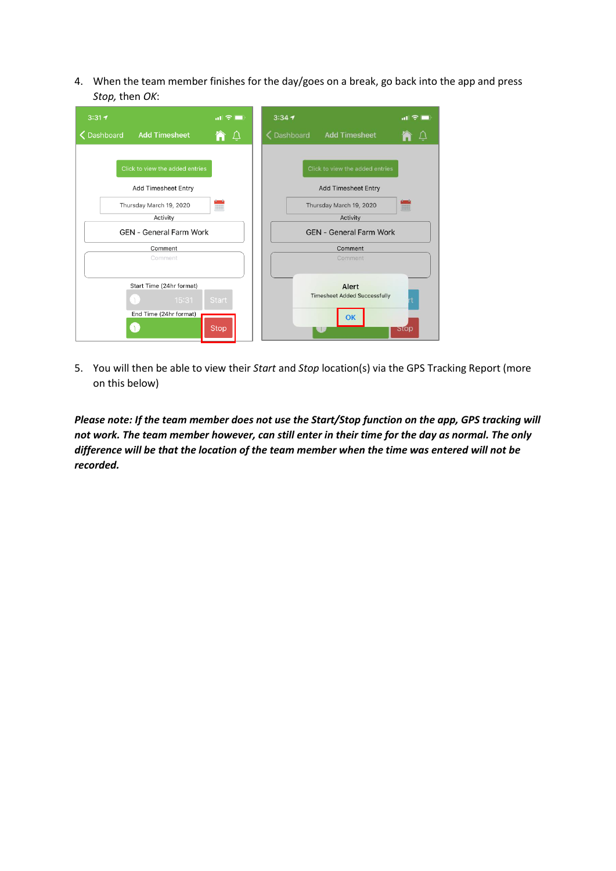4. When the team member finishes for the day/goes on a break, go back into the app and press *Stop,* then *OK*:

| 3:317     |                                 | $\overline{\mathbf{m}}$ $\mathbf{\hat{z}}$ | 3:347              |                                     | 승 (         |
|-----------|---------------------------------|--------------------------------------------|--------------------|-------------------------------------|-------------|
| Dashboard | <b>Add Timesheet</b>            | ਾਹੋ<br>Ħ                                   | <b>◇ Dashboard</b> | <b>Add Timesheet</b>                |             |
|           | Click to view the added entries |                                            |                    | Click to view the added entries     |             |
|           | Add Timesheet Entry             |                                            |                    | <b>Add Timesheet Entry</b>          |             |
|           | Thursday March 19, 2020         | m                                          |                    | Thursday March 19, 2020             | EH          |
|           | Activity                        |                                            |                    | Activity                            |             |
|           | <b>GEN - General Farm Work</b>  |                                            |                    | <b>GEN - General Farm Work</b>      |             |
|           | Comment                         |                                            |                    | Comment                             |             |
|           | Comment                         |                                            |                    | Comment                             |             |
|           | Start Time (24hr format)        |                                            |                    | Alert                               |             |
|           | 15:31                           | <b>Start</b>                               |                    | <b>Timesheet Added Successfully</b> |             |
|           | End Time (24hr format)          | <b>Stop</b>                                |                    | OK                                  | <b>Stop</b> |

5. You will then be able to view their *Start* and *Stop* location(s) via the GPS Tracking Report (more on this below)

*Please note: If the team member does not use the Start/Stop function on the app, GPS tracking will not work. The team member however, can still enter in their time for the day as normal. The only difference will be that the location of the team member when the time was entered will not be recorded.*